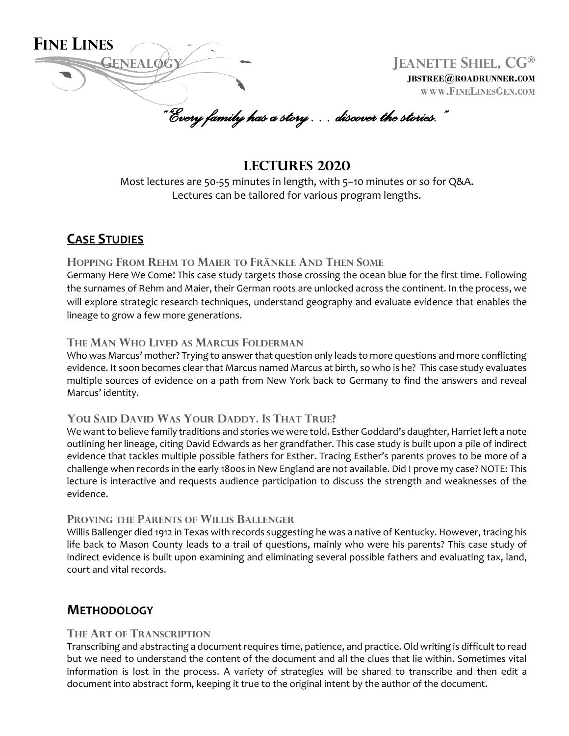

**JBSTREE@ROADRUNNER.COM WWW.FINELINESGEN.COM**

*""Every family has a story… discover the stories."*

# **Lectures 2020**

Most lectures are 50-55 minutes in length, with 5–10 minutes or so for Q&A. Lectures can be tailored for various program lengths.

# **CASE STUDIES**

## **HOPPING FROM REHM TO MAIER TO FRÄNKLE AND THEN SOME**

Germany Here We Come! This case study targets those crossing the ocean blue for the first time. Following the surnames of Rehm and Maier, their German roots are unlocked across the continent. In the process, we will explore strategic research techniques, understand geography and evaluate evidence that enables the lineage to grow a few more generations.

### **THE MAN WHO LIVED AS MARCUS FOLDERMAN**

Who was Marcus' mother? Trying to answer that question only leads to more questions and more conflicting evidence. It soon becomes clear that Marcus named Marcus at birth, so who is he? This case study evaluates multiple sources of evidence on a path from New York back to Germany to find the answers and reveal Marcus' identity.

## **YOU SAID DAVID WAS YOUR DADDY. IS THAT TRUE?**

We want to believe family traditions and stories we were told. Esther Goddard's daughter, Harriet left a note outlining her lineage, citing David Edwards as her grandfather. This case study is built upon a pile of indirect evidence that tackles multiple possible fathers for Esther. Tracing Esther's parents proves to be more of a challenge when records in the early 1800s in New England are not available. Did I prove my case? NOTE: This lecture is interactive and requests audience participation to discuss the strength and weaknesses of the evidence.

### **PROVING THE PARENTS OF WILLIS BALLENGER**

Willis Ballenger died 1912 in Texas with records suggesting he was a native of Kentucky. However, tracing his life back to Mason County leads to a trail of questions, mainly who were his parents? This case study of indirect evidence is built upon examining and eliminating several possible fathers and evaluating tax, land, court and vital records.

# **METHODOLOGY**

### **THE ART OF TRANSCRIPTION**

Transcribing and abstracting a document requires time, patience, and practice. Old writing is difficult to read but we need to understand the content of the document and all the clues that lie within. Sometimes vital information is lost in the process. A variety of strategies will be shared to transcribe and then edit a document into abstract form, keeping it true to the original intent by the author of the document.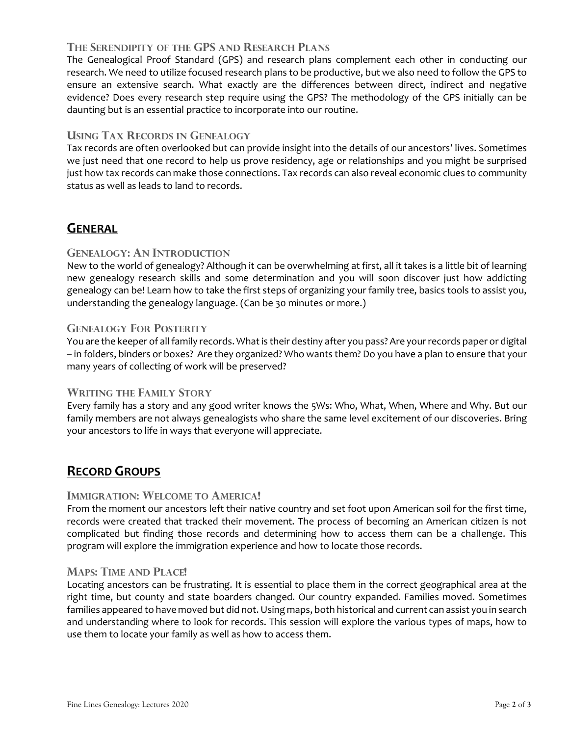## **THE SERENDIPITY OF THE GPS AND RESEARCH PLANS**

The Genealogical Proof Standard (GPS) and research plans complement each other in conducting our research. We need to utilize focused research plans to be productive, but we also need to follow the GPS to ensure an extensive search. What exactly are the differences between direct, indirect and negative evidence? Does every research step require using the GPS? The methodology of the GPS initially can be daunting but is an essential practice to incorporate into our routine.

## **USING TAX RECORDS IN GENEALOGY**

Tax records are often overlooked but can provide insight into the details of our ancestors' lives. Sometimes we just need that one record to help us prove residency, age or relationships and you might be surprised just how tax records can make those connections. Tax records can also reveal economic clues to community status as well as leads to land to records.

# **GENERAL**

## **GENEALOGY: AN INTRODUCTION**

New to the world of genealogy? Although it can be overwhelming at first, all it takes is a little bit of learning new genealogy research skills and some determination and you will soon discover just how addicting genealogy can be! Learn how to take the first steps of organizing your family tree, basics tools to assist you, understanding the genealogy language. (Can be 30 minutes or more.)

### **GENEALOGY FOR POSTERITY**

You are the keeper of allfamily records. What is their destiny after you pass? Are your records paper or digital – in folders, binders or boxes? Are they organized? Who wants them? Do you have a plan to ensure that your many years of collecting of work will be preserved?

## **WRITING THE FAMILY STORY**

Every family has a story and any good writer knows the 5Ws: Who, What, When, Where and Why. But our family members are not always genealogists who share the same level excitement of our discoveries. Bring your ancestors to life in ways that everyone will appreciate.

# **RECORD GROUPS**

### **IMMIGRATION: WELCOME TO AMERICA!**

From the moment our ancestors left their native country and set foot upon American soil for the first time, records were created that tracked their movement. The process of becoming an American citizen is not complicated but finding those records and determining how to access them can be a challenge. This program will explore the immigration experience and how to locate those records.

### **MAPS: TIME AND PLACE!**

Locating ancestors can be frustrating. It is essential to place them in the correct geographical area at the right time, but county and state boarders changed. Our country expanded. Families moved. Sometimes families appeared to have moved but did not. Using maps, both historical and current can assist you in search and understanding where to look for records. This session will explore the various types of maps, how to use them to locate your family as well as how to access them.